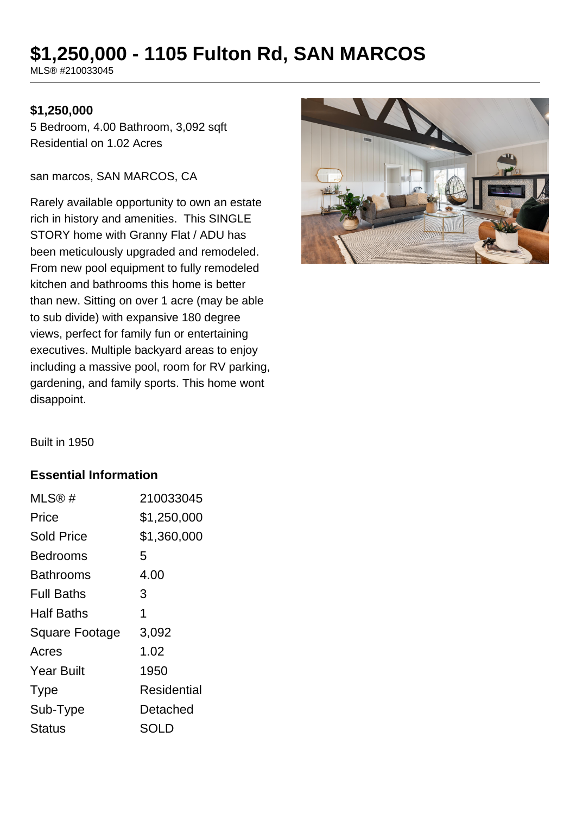# **\$1,250,000 - 1105 Fulton Rd, SAN MARCOS**

MLS® #210033045

#### **\$1,250,000**

5 Bedroom, 4.00 Bathroom, 3,092 sqft Residential on 1.02 Acres

san marcos, SAN MARCOS, CA

Rarely available opportunity to own an estate rich in history and amenities. This SINGLE STORY home with Granny Flat / ADU has been meticulously upgraded and remodeled. From new pool equipment to fully remodeled kitchen and bathrooms this home is better than new. Sitting on over 1 acre (may be able to sub divide) with expansive 180 degree views, perfect for family fun or entertaining executives. Multiple backyard areas to enjoy including a massive pool, room for RV parking, gardening, and family sports. This home wont disappoint.



Built in 1950

#### **Essential Information**

| MLS®#                 | 210033045          |
|-----------------------|--------------------|
| Price                 | \$1,250,000        |
| <b>Sold Price</b>     | \$1,360,000        |
| Bedrooms              | 5                  |
| Bathrooms             | 4.00               |
| <b>Full Baths</b>     | 3                  |
| Half Baths            | 1                  |
| <b>Square Footage</b> | 3,092              |
| Acres                 | 1.02               |
| <b>Year Built</b>     | 1950               |
| <b>Type</b>           | <b>Residential</b> |
| Sub-Type              | Detached           |
| Status                | SOLD               |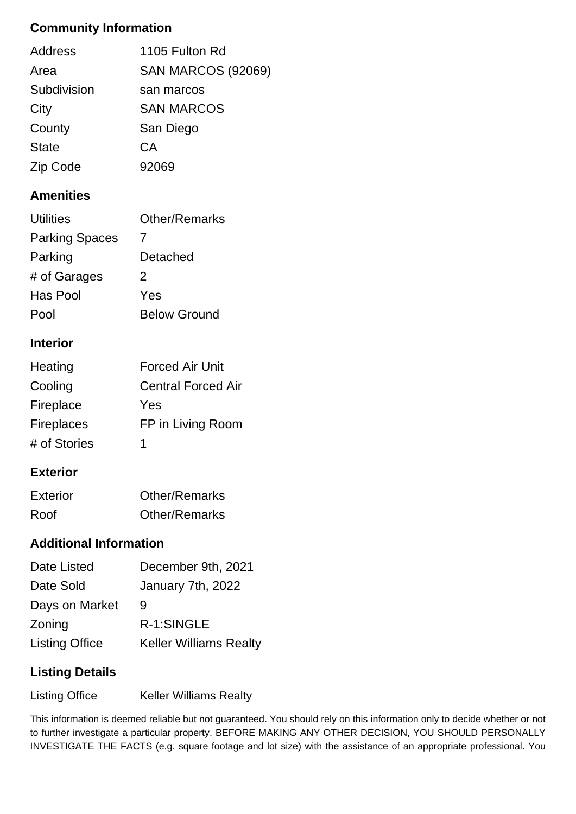## **Community Information**

| 1105 Fulton Rd            |
|---------------------------|
| <b>SAN MARCOS (92069)</b> |
| san marcos                |
| <b>SAN MARCOS</b>         |
| San Diego                 |
| СA                        |
| 92069                     |
|                           |

## **Amenities**

| Utilities             | <b>Other/Remarks</b> |
|-----------------------|----------------------|
| <b>Parking Spaces</b> | $\prime$             |
| Parking               | Detached             |
| # of Garages          | 2                    |
| Has Pool              | Yes                  |
| Pool                  | <b>Below Ground</b>  |
|                       |                      |

#### **Interior**

| Heating           | <b>Forced Air Unit</b>    |
|-------------------|---------------------------|
| Cooling           | <b>Central Forced Air</b> |
| Fireplace         | Yes                       |
| <b>Fireplaces</b> | FP in Living Room         |
| # of Stories      | 1                         |

#### **Exterior**

| <b>Exterior</b> | <b>Other/Remarks</b> |
|-----------------|----------------------|
| Roof            | <b>Other/Remarks</b> |

## **Additional Information**

| Date Listed           | December 9th, 2021            |
|-----------------------|-------------------------------|
| Date Sold             | January 7th, 2022             |
| Days on Market        | 9                             |
| Zoning                | R-1:SINGLE                    |
| <b>Listing Office</b> | <b>Keller Williams Realty</b> |

## **Listing Details**

Listing Office Keller Williams Realty

This information is deemed reliable but not guaranteed. You should rely on this information only to decide whether or not to further investigate a particular property. BEFORE MAKING ANY OTHER DECISION, YOU SHOULD PERSONALLY INVESTIGATE THE FACTS (e.g. square footage and lot size) with the assistance of an appropriate professional. You